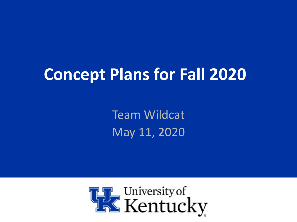# **Concept Plans for Fall 2020**

Team Wildcat May 11, 2020

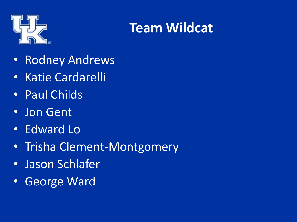

#### **Team Wildcat**

- Rodney Andrews
- Katie Cardarelli
- Paul Childs
- Jon Gent
- Edward Lo
- Trisha Clement-Montgomery
- Jason Schlafer
- George Ward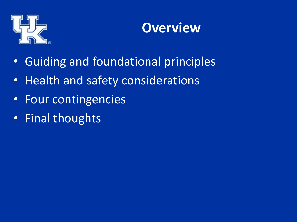

#### **Overview**

- Guiding and foundational principles
- Health and safety considerations
- Four contingencies
- Final thoughts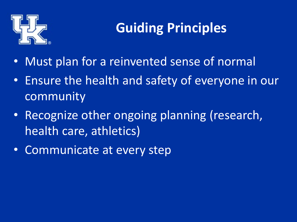

## **Guiding Principles**

- Must plan for a reinvented sense of normal
- Ensure the health and safety of everyone in our community
- Recognize other ongoing planning (research, health care, athletics)
- Communicate at every step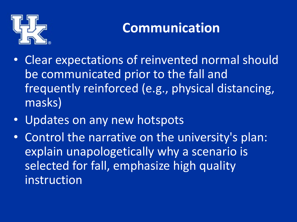

#### **Communication**

- Clear expectations of reinvented normal should be communicated prior to the fall and frequently reinforced (e.g., physical distancing, masks)
- Updates on any new hotspots
- Control the narrative on the university's plan: explain unapologetically why a scenario is selected for fall, emphasize high quality instruction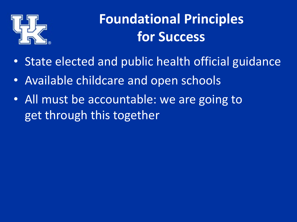

## **Foundational Principles for Success**

- State elected and public health official guidance
- Available childcare and open schools
- All must be accountable: we are going to get through this together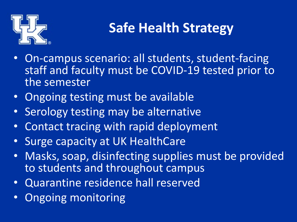

### **Safe Health Strategy**

- On-campus scenario: all students, student-facing staff and faculty must be COVID-19 tested prior to the semester
- Ongoing testing must be available
- Serology testing may be alternative
- Contact tracing with rapid deployment
- Surge capacity at UK HealthCare
- Masks, soap, disinfecting supplies must be provided to students and throughout campus
- Quarantine residence hall reserved
- Ongoing monitoring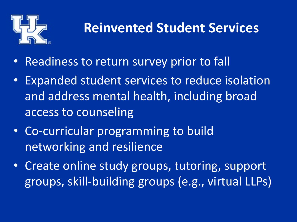

#### **Reinvented Student Services**

- Readiness to return survey prior to fall
- Expanded student services to reduce isolation and address mental health, including broad access to counseling
- Co-curricular programming to build networking and resilience
- Create online study groups, tutoring, support groups, skill-building groups (e.g., virtual LLPs)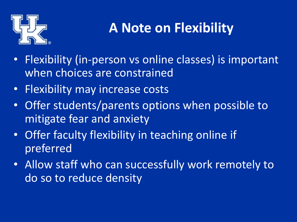

## **A Note on Flexibility**

- Flexibility (in-person vs online classes) is important when choices are constrained
- Flexibility may increase costs
- Offer students/parents options when possible to mitigate fear and anxiety
- Offer faculty flexibility in teaching online if preferred
- Allow staff who can successfully work remotely to do so to reduce density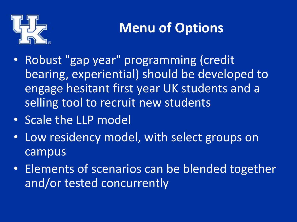

## **Menu of Options**

- Robust "gap year" programming (credit bearing, experiential) should be developed to engage hesitant first year UK students and a selling tool to recruit new students
- Scale the LLP model
- Low residency model, with select groups on campus
- Elements of scenarios can be blended together and/or tested concurrently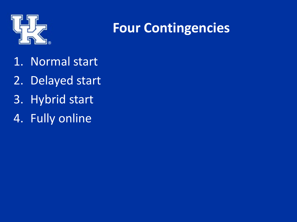

#### **Four Contingencies**

- 1. Normal start
- 2. Delayed start
- 3. Hybrid start
- 4. Fully online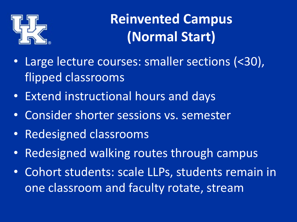

**Reinvented Campus (Normal Start)**

- Large lecture courses: smaller sections (<30), flipped classrooms
- Extend instructional hours and days
- Consider shorter sessions vs. semester
- Redesigned classrooms
- Redesigned walking routes through campus
- Cohort students: scale LLPs, students remain in one classroom and faculty rotate, stream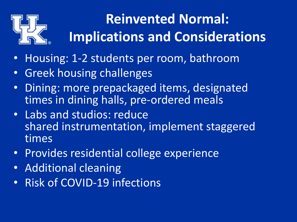

## **Reinvented Normal: Implications and Considerations**

- Housing: 1-2 students per room, bathroom
- Greek housing challenges
- Dining: more prepackaged items, designated times in dining halls, pre-ordered meals
- Labs and studios: reduce shared instrumentation, implement staggered times
- Provides residential college experience
- Additional cleaning
- Risk of COVID-19 infections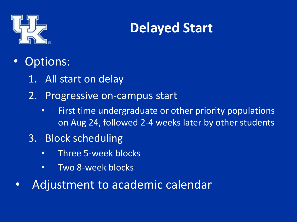

#### **Delayed Start**

- Options:
	- 1. All start on delay
	- 2. Progressive on-campus start
		- First time undergraduate or other priority populations on Aug 24, followed 2-4 weeks later by other students
	- 3. Block scheduling
		- Three 5-week blocks
		- Two 8-week blocks
	- Adjustment to academic calendar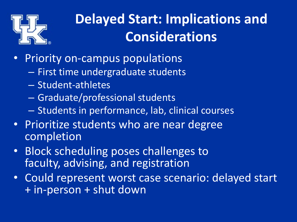

## **Delayed Start: Implications and Considerations**

- Priority on-campus populations
	- First time undergraduate students
	- Student-athletes
	- Graduate/professional students
	- Students in performance, lab, clinical courses
- Prioritize students who are near degree completion
- Block scheduling poses challenges to faculty, advising, and registration
- Could represent worst case scenario: delayed start + in-person + shut down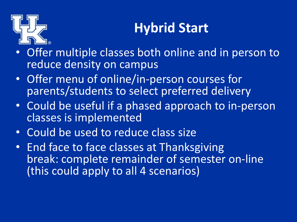

### **Hybrid Start**

- Offer multiple classes both online and in person to reduce density on campus
- Offer menu of online/in-person courses for parents/students to select preferred delivery
- Could be useful if a phased approach to in-person classes is implemented
- Could be used to reduce class size
- End face to face classes at Thanksgiving break: complete remainder of semester on-line (this could apply to all 4 scenarios)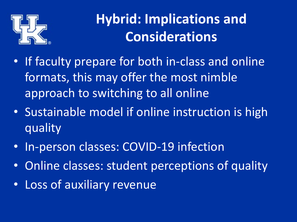

## **Hybrid: Implications and Considerations**

- If faculty prepare for both in-class and online formats, this may offer the most nimble approach to switching to all online
- Sustainable model if online instruction is high quality
- In-person classes: COVID-19 infection
- Online classes: student perceptions of quality
- Loss of auxiliary revenue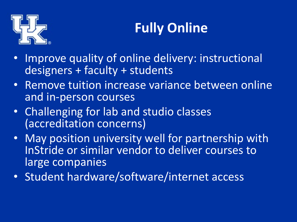

## **Fully Online**

- Improve quality of online delivery: instructional designers + faculty + students
- Remove tuition increase variance between online and in-person courses
- Challenging for lab and studio classes (accreditation concerns)
- May position university well for partnership with InStride or similar vendor to deliver courses to large companies
- Student hardware/software/internet access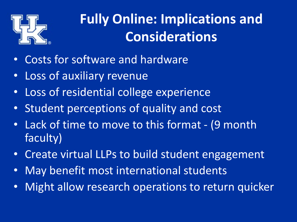

## **Fully Online: Implications and Considerations**

- Costs for software and hardware
- Loss of auxiliary revenue
- Loss of residential college experience
- Student perceptions of quality and cost
- Lack of time to move to this format (9 month faculty)
- Create virtual LLPs to build student engagement
- May benefit most international students
- Might allow research operations to return quicker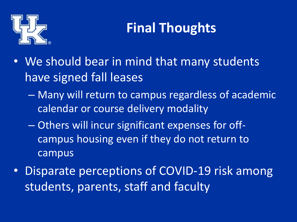

## **Final Thoughts**

- We should bear in mind that many students have signed fall leases
	- Many will return to campus regardless of academic calendar or course delivery modality
	- Others will incur significant expenses for offcampus housing even if they do not return to campus
- Disparate perceptions of COVID-19 risk among students, parents, staff and faculty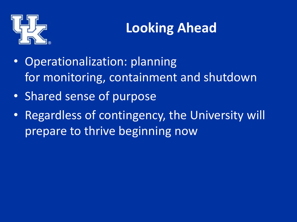

## **Looking Ahead**

- Operationalization: planning for monitoring, containment and shutdown
- Shared sense of purpose
- Regardless of contingency, the University will prepare to thrive beginning now